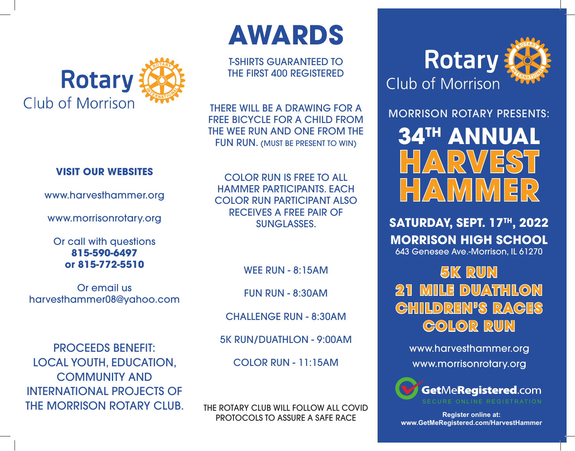

## **VISIT OUR WEBSITES**

www.harvesthammer.org

www.morrisonrotary.org

Or call with questions **815-590-6497 or 815-772-5510**

Or email us harvesthammer08@yahoo.com

PROCEEDS BENEFIT: LOCAL YOUTH, EDUCATION, COMMUNITY AND INTERNATIONAL PROJECTS OF THE MORRISON ROTARY CLUB.

COLOR RUN IS FREE TO ALL HAMMER PARTICIPANTS. EACH COLOR RUN PARTICIPANT ALSO RECEIVES A FREE PAIR OF SUNGLASSES.

T-SHIRTS GUARANTEED TO THE FIRST 400 REGISTERED

**AWARDS**

THERE WILL BE A DRAWING FOR A FREE BICYCLE FOR A CHILD FROM THE WEE RUN AND ONE FROM THE FUN RUN. (MUST BE PRESENT TO WIN)

WEE RUN - 8:15AM

FUN RUN - 8:30AM

CHALLENGE RUN - 8:30AM

5K RUN/DUATHLON - 9:00AM

COLOR RUN - 11:15AM

THE ROTARY CLUB WILL FOLLOW ALL COVID PROTOCOLS TO ASSURE A SAFE RACE



MORRISON ROTARY PRESENTS: **34TH ANNUAL HARVEST**

**SATURDAY, SEPT. 17TH, 2022 MORRISON HIGH SCHOOL** 643 Genesee Ave.-Morrison, IL 61270

**H**  $\sqrt{\Delta}$ 

**5K RUN 21 MILE DUATHLON CHILDREN'S RACES COLOR RUN**

www.harvesthammer.org www.morrisonrotary.org



**Register online at: www.GetMeRegistered.com/HarvestHammer**